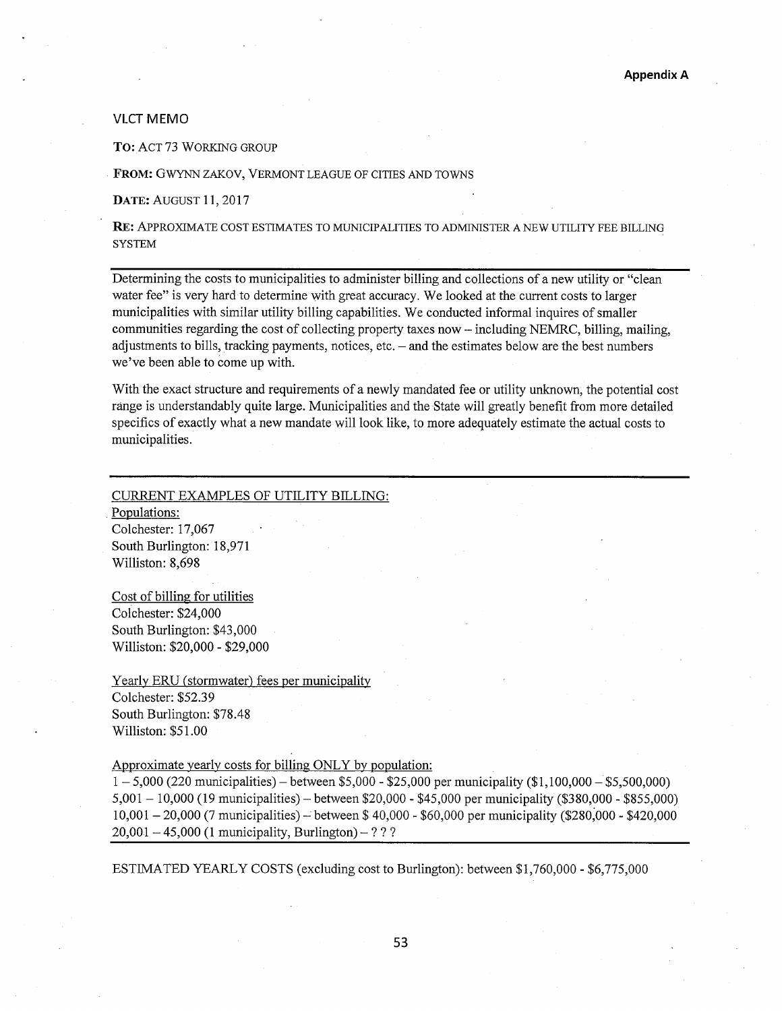# VLCT MEMO

TO: ACT 73 WORKING GROUP

FROM: GWYNN ZAKOV, VERMONT LEAGUE OF CITIES AND TOWNS

DATE: AUGUST 11,2017

RE: APPROXIMATE COST ESTIMATES TO MUNICIPALITIES TO ADMINISTER A NEW UTILITY FEE BILLING **SYSTEM** 

Determining the costs to municipalities to administer billing and collections of a new utility or "clean water fee" is very hard to determine with great accuracy. We looked at the current costs to larger municipalities with similar utility billing capabilities. We conducted informal inquires of smaller communities regarding the cost of collecting property taxes now — including NEMRC, billing, mailing, adjustments to bills, tracking payments, notices, etc. — and the estimates below are the best numbers we've been able to come up with.

With the exact structure and requirements of a newly mandated fee or utility unknown, the potential cost range is understandably quite large. Municipalities and the State will greatly benefit from more detailed specifics of exactly what a new mandate will look like, to more adequately estimate the actual costs to municipalities.

#### CURRENT EXAMPLES OF UTILITY BILLING:

Populations: Colchester: 17,067 South Burlington: 18,971 Williston: 8,698

Cost of billing for utilities Colchester: \$24,000 South Burlington: \$43,000 Williston: \$20,000 - \$29,000

Yearly ERU (stormwater) fees per municipality Colchester: \$52.39 South Burlington: \$78.48 Williston: \$51.00

Approximate yearly costs for billing ONLY by population:

 $1 - 5,000$  (220 municipalities) – between \$5,000 - \$25,000 per municipality (\$1,100,000 – \$5,500,000) 5,001 — 10,000 (19 municipalities) — between \$20,000 - \$45,000 per municipality (\$380,000 - \$855,000) 10,001 — 20,000 (7 municipalities) — between \$ 40,000 - \$60,000 per municipality (\$280,000 - \$420,000  $20,001 - 45,000$  (1 municipality, Burlington) – ? ? ?

ESTIMATED YEARLY COSTS (excluding cost to Burlington): between \$1,760,000 - \$6,775,000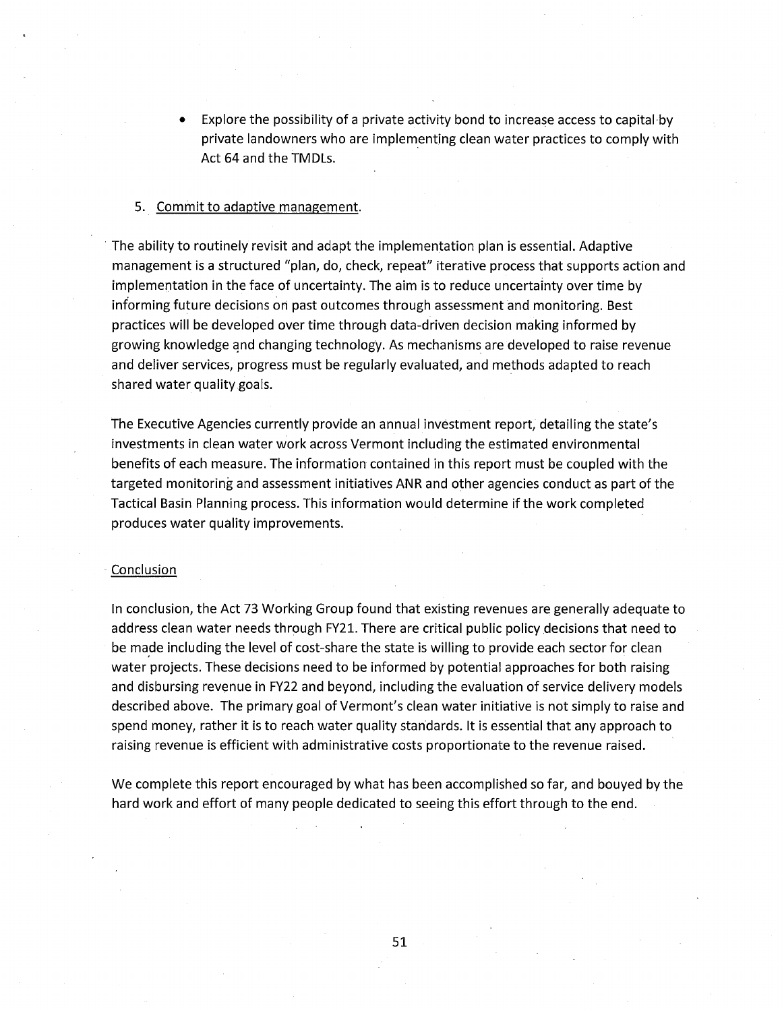• Explore the possibility of a private activity bond to increase access to capital by private landowners who are implementing clean water practices to comply with Act 64 and the TMDLs.

# . Commit to adaptive management.

• The ability to routinely revisit and adapt the implementation plan is essential. Adaptive management is a structured "plan, do, check, repeat" iterative process that supports action and implementation in the face of uncertainty. The aim is to reduce uncertainty over time by informing future decisions on past outcomes through assessment and monitoring. Best practices will be developed over time through data-driven decision making informed by growing knowledge and changing technology. As mechanisms are developed to raise revenue and deliver services, progress must be regularly evaluated, and methods adapted to reach shared water quality goals.

The Executive Agencies currently provide an annual investment report, detailing the state's investments in clean water work across Vermont including the estimated environmental benefits of each measure. The information contained in this report must be coupled with the targeted monitoring and assessment initiatives ANR and other agencies conduct as part of the Tactical Basin Planning process. This information would determine if the work completed produces water quality improvements.

#### **Conclusion**

In conclusion, the Act 73 Working Group found that existing revenues are generally adequate to address clean water needs through FY21. There are critical public policy decisions that need to be made including the level of cost-share the state is willing to provide each sector for clean water projects. These decisions need to be informed by potential approaches for both raising and disbursing revenue in FY22 and beyond, including the evaluation of service delivery models described above. The primary goal of Vermont's clean water initiative is not simply to raise and spend money, rather it is to reach water quality standards. It is essential that any approach to raising revenue is efficient with administrative costs proportionate to the revenue raised.

We complete this report encouraged by what has been accomplished so far, and bouyed by the hard work and effort of many people dedicated to seeing this effort through to the end.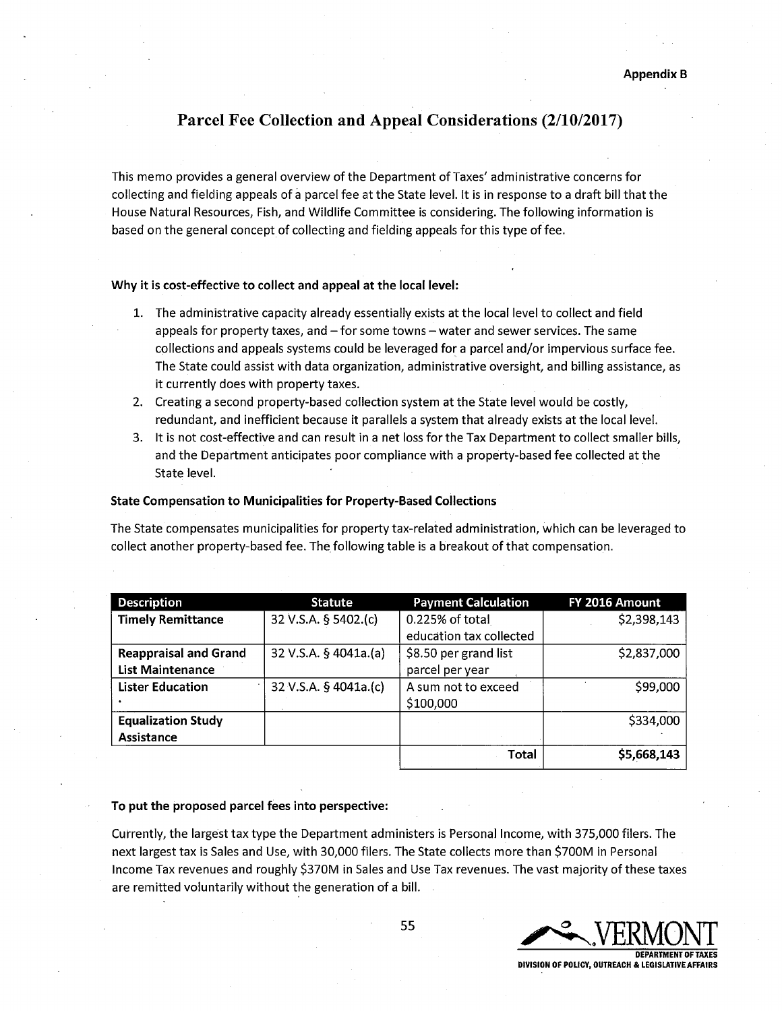# **Parcel Fee Collection and Appeal Considerations (2/10/2017)**

This memo provides a general overview of the Department of Taxes' administrative concerns for collecting and fielding appeals of a parcel fee at the State level. It is in response to a draft bill that the House Natural Resources, Fish, and Wildlife Committee is considering. The following information is based on the general concept of collecting and fielding appeals for this type of fee.

# **Why it is cost-effective to collect and appeal at the local level:**

- 1. The administrative capacity already essentially exists at the local level to collect and field appeals for property taxes, and —for some towns — water and sewer services. The same collections and appeals systems could be leveraged for a parcel and/or impervious surface fee. The State could assist with data organization, administrative oversight, and billing assistance, as it currently does with property taxes.
- 2. Creating a second property-based collection system at the State level would be costly, redundant, and inefficient because it parallels a system that already exists at the local level.
- 3. It is not cost-effective and can result in a net loss for the Tax Department to collect smaller bills, and the Department anticipates poor compliance with a property-based fee collected at the State level.

# **State Compensation to Municipalities for Property-Based Collections**

The State compensates municipalities for property tax-related administration, which can be leveraged to collect another property-based fee. The following table is a breakout of that compensation.

| <b>Description</b>           | <b>Statute</b>        | <b>Payment Calculation</b> | FY 2016 Amount |
|------------------------------|-----------------------|----------------------------|----------------|
| <b>Timely Remittance</b>     | 32 V.S.A. § 5402.(c)  | 0.225% of total            | \$2,398,143    |
|                              |                       | education tax collected    |                |
| <b>Reappraisal and Grand</b> | 32 V.S.A. § 4041a.(a) | \$8.50 per grand list      | \$2,837,000    |
| <b>List Maintenance</b>      |                       | parcel per year            |                |
| <b>Lister Education</b>      | 32 V.S.A. § 4041a.(c) | A sum not to exceed        | \$99,000       |
|                              |                       | \$100,000                  |                |
| <b>Equalization Study</b>    |                       |                            | \$334,000      |
| Assistance                   |                       |                            |                |
|                              |                       | Total                      | \$5,668,143    |

# **To put the proposed parcel fees into perspective:**

Currently, the largest tax type the Department administers is Personal Income, with 375,000 filers. The next largest tax is Sales and Use, with 30,000 filers. The State collects more than \$700M in Personal Income Tax revenues and roughly \$370M in Sales and Use Tax revenues. The vast majority of these taxes are remitted voluntarily without the generation of a bill.

55 SAMULATION STRAIGHT **DEPARTMENT OF TAXES DIVISION OF POLICY, OUTREACH & LEGISLATIVE AFFAIRS**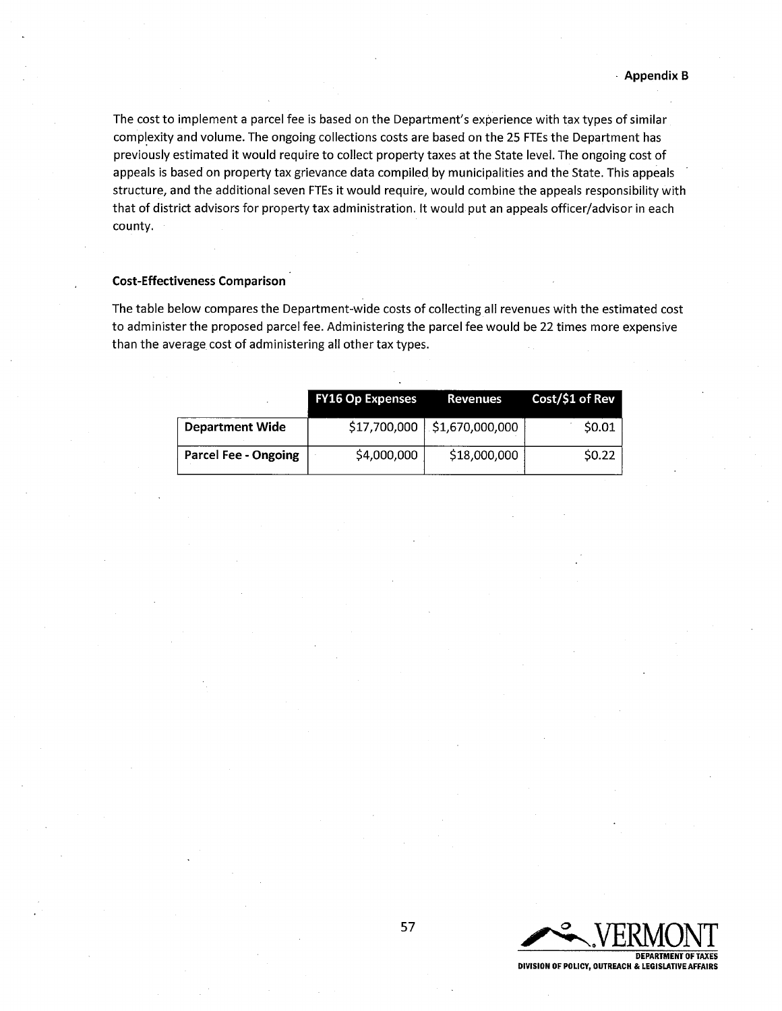The cost to implement a parcel fee is based on the Department's experience with tax types of similar complexity and volume. The ongoing collections costs are based on the 25 FTEs the Department has previously estimated it would require to collect property taxes at the State level. The ongoing cost of appeals is based on property tax grievance data compiled by municipalities and the State. This appeals structure, and the additional seven FTEs it would require, would combine the appeals responsibility with that of district advisors for property tax administration. It would put an appeals officer/advisor in each county.

# **Cost-Effectiveness Comparison**

The table below compares the Department-wide costs of collecting all revenues with the estimated cost to administer the proposed parcel fee. Administering the parcel fee would be 22 times more expensive than the average cost of administering all other tax types.

|                             | <b>FY16 Op Expenses</b> | Revenues                       | Cost/\$1 of Rev |
|-----------------------------|-------------------------|--------------------------------|-----------------|
| <b>Department Wide</b>      |                         | \$17,700,000   \$1,670,000,000 | \$0.01          |
| <b>Parcel Fee - Ongoing</b> | \$4,000,000             | \$18,000,000                   | SO.22           |

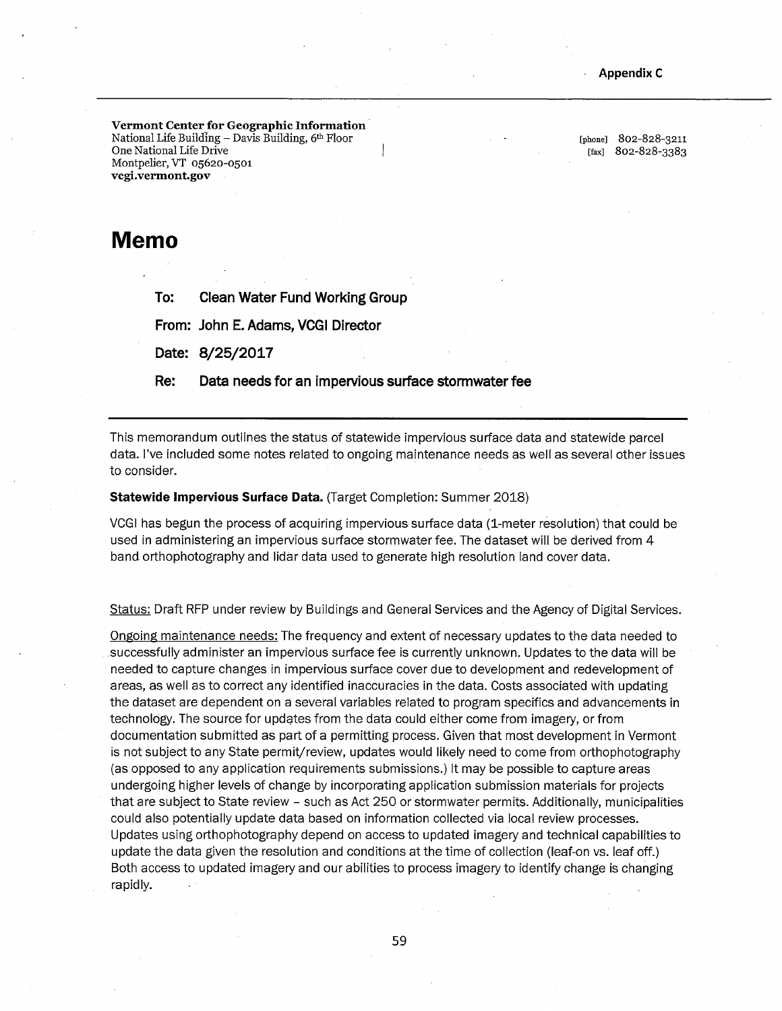**Vermont Center for Geographic Information**  National Life Building  $-$  Davis Building,  $6<sup>th</sup>$  Floor One National Life Drive Montpelier, VT 05620-0501 **vcgi.vermont.gov** 

[phone] 802-828-3211 [fax] 802-828-3383

# **Memo**

**To: Clean Water Fund Working Group** 

**From: John E. Adams, VCGI Director** 

**Date: 8/25/2017** 

**Re: Data needs for an impervious surface stormwater fee** 

This memorandum outlines the status of statewide impervious surface data and statewide parcel data. I've included some notes related to ongoing maintenance needs as well as several other issues to consider.

## **Statewide Impervious Surface Data.** (Target Completion: Summer 2018)

VCGI has begun the process of acquiring impervious surface data (1-meter resolution) that could be used in administering an impervious surface stormwater fee. The dataset will be derived from 4 band orthophotography and lidar data used to generate high resolution land cover data.

Status: Draft RFP under review by Buildings and General Services and the Agency of Digital Services.

Ongoing maintenance needs: The frequency and extent of necessary updates to the data needed to successfully administer an impervious surface fee is currently unknown. Updates to the data will be needed to capture changes in impervious surface cover due to development and redevelopment of areas, as well as to correct any identified inaccuracies in the data. Costs associated with updating the dataset are dependent on a several variables related to program specifics and advancements in technology. The source for updates from the data could either come from imagery, or from documentation submitted as part of a permitting process. Given that most development in Vermont is not subject to any State permit/review, updates would likely need to come from orthophotography (as opposed to any application requirements submissions.) It may be possible to capture areas undergoing higher levels of change by incorporating application submission materials for projects that are subject to State review - such as Act 250 or stormwater permits. Additionally, municipalities could also potentially update data based on information collected via local review processes. Updates using orthophotography depend on access to updated imagery and technical capabilities to update the data given the resolution and conditions at the time of collection (leaf-on vs. leaf off.) Both access to updated imagery and our abilities to process imagery to identify change is changing rapidly.